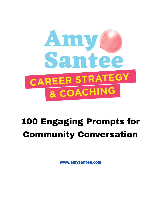

## 100 Engaging Prompts for Community Conversation

[www.amysantee.com](http://www.amysantee.com)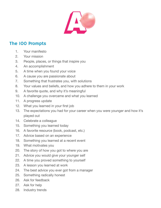

## The 100 Prompts

- 1. Your manifesto
- 2. Your mission
- 3. People, places, or things that inspire you
- 4. An accomplishment
- 5. A time when you found your voice
- 6. A cause you are passionate about
- 7. Something that frustrates you, with solutions
- 8. Your values and beliefs, and how you adhere to them in your work
- 9. A favorite quote, and why it's meaningful
- 10. A challenge you overcame and what you learned
- 11. A progress update
- 12. What you learned in your first job
- 13. The expectations you had for your career when you were younger and how it's played out
- 14. Celebrate a colleague
- 15. Something you learned today
- 16. A favorite resource (book, podcast, etc.)
- 17. Advice based on an experience
- 18. Something you learned at a recent event
- 19. What motivates you
- 20. The story of how you got to where you are
- 21. Advice you would give your younger self
- 22. A time you proved something to yourself
- 23. A lesson you learned at work
- 24. The best advice you ever got from a manager
- 25. Something radically honest
- 26. Ask for feedback
- 27. Ask for help
- 28. Industry trends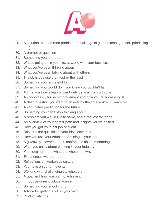

- 29. A solution to a common problem or challenge (e.g., time management, prioritizing, etc.)
- 30. A prompt or question
- 31. Something you're proud of
- 32. What's going on in your life, at work, with your business
- 33. What you've been thinking about
- 34. What you've been talking about with others
- 35. The skills you use the most or the least
- 36. Something you're grateful for
- 37. Something you would do if you knew you couldn't fail
- 38. A time you took a leap or went outside your comfort zone
- 39. An opportunity for self-improvement and how you're addressing it
- 40. A deep question you want to answer by the time you're 85 years old
- 41. An educated prediction for the future
- 42. Something you can't stop thinking about
- 43. A problem you would like to solve, and a request for ideas
- 44. An overview of your career path and insights you've gained
- 45. How you got your last job or client
- 46. Describe the qualities of your ideal coworker
- 47. How you use your education/training in your job
- 48. A giveaway favorite book, conference ticket, mentoring
- 49. What you enjoy about working in your industry
- 50. Your ideal job the what, the where, the why
- 51. Experiences with burnout
- 52. Reflections on workplace culture
- 53. Your take on current events
- 54. Working with challenging stakeholders
- 55. A goal and how you plan to achieve it
- 56. Introduce or reintroduce yourself
- 57. Something you're looking for
- 58. Advice for getting a job in your field
- 59. Productivity tips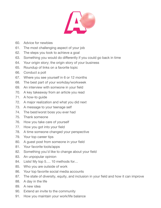

- 60. Advice for newbies
- 61. The most challenging aspect of your job
- 62. The steps you took to achieve a goal
- 63. Something you would do differently if you could go back in time
- 64. Your origin story; the origin story of your business
- 65. Roundup of links on a favorite topic
- 66. Conduct a poll
- 67. Where you see yourself in 6 or 12 months
- 68. The best part of your workday/workweek
- 69. An interview with someone in your field
- 70. A key takeaway from an article you read
- 71. A how-to guide
- 72. A major realization and what you did next
- 73. A message to your teenage self
- 74. The best/worst boss you ever had
- 75. Thank someone
- 76. How you take care of yourself
- 77. How you got into your field
- 78. A time someone changed your perspective
- 79. Your top career tips
- 80. A guest post from someone in your field
- 81. Your favorite tools/apps
- 82. Something you'd like to change about your field
- 83. An unpopular opinion
- 84. Lists! My top 5.... 10 methods for...
- 85. Who you are outside of work
- 86. Your top favorite social media accounts
- 87. The state of diversity, equity, and inclusion in your field and how it can improve
- 88. A day in the life
- 89. A new idea
- 90. Extend an invite to the community
- 91. How you maintain your work/life balance